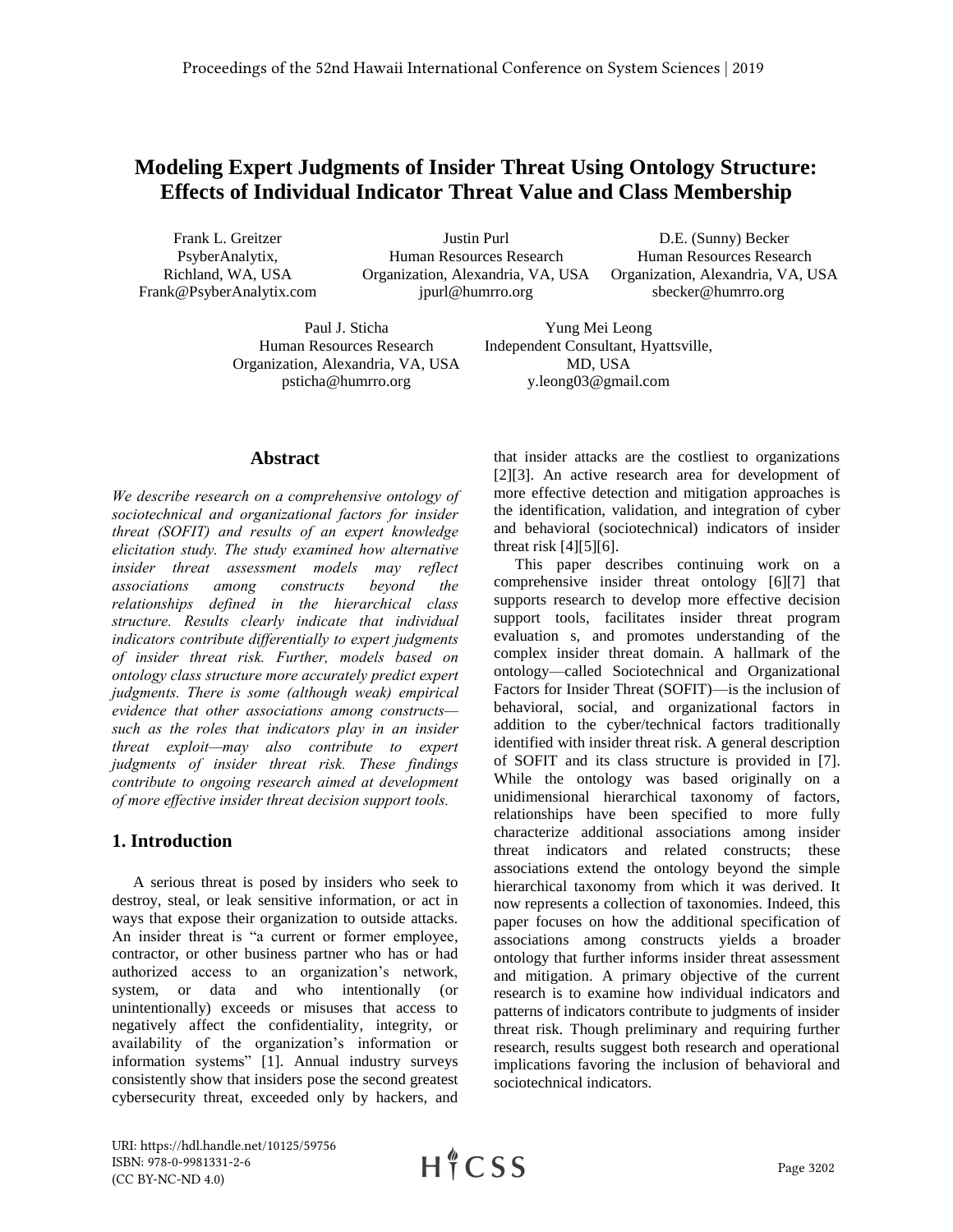# **Modeling Expert Judgments of Insider Threat Using Ontology Structure: Effects of Individual Indicator Threat Value and Class Membership**

Frank L. Greitzer PsyberAnalytix, Richland, WA, USA Frank@PsyberAnalytix.com

Justin Purl Human Resources Research Organization, Alexandria, VA, USA jpurl@humrro.org

D.E. (Sunny) Becker Human Resources Research Organization, Alexandria, VA, USA sbecker@humrro.org

Paul J. Sticha Human Resources Research Organization, Alexandria, VA, USA psticha@humrro.org

Yung Mei Leong Independent Consultant, Hyattsville, MD, USA y.leong03@gmail.com

#### **Abstract**

*We describe research on a comprehensive ontology of sociotechnical and organizational factors for insider threat (SOFIT) and results of an expert knowledge elicitation study. The study examined how alternative insider threat assessment models may reflect associations among constructs beyond the relationships defined in the hierarchical class structure. Results clearly indicate that individual indicators contribute differentially to expert judgments of insider threat risk. Further, models based on ontology class structure more accurately predict expert judgments. There is some (although weak) empirical evidence that other associations among constructs such as the roles that indicators play in an insider threat exploit—may also contribute to expert judgments of insider threat risk. These findings contribute to ongoing research aimed at development of more effective insider threat decision support tools.* 

### **1. Introduction**

A serious threat is posed by insiders who seek to destroy, steal, or leak sensitive information, or act in ways that expose their organization to outside attacks. An insider threat is "a current or former employee, contractor, or other business partner who has or had authorized access to an organization's network, system, or data and who intentionally (or unintentionally) exceeds or misuses that access to negatively affect the confidentiality, integrity, or availability of the organization's information or information systems" [1]. Annual industry surveys consistently show that insiders pose the second greatest cybersecurity threat, exceeded only by hackers, and

that insider attacks are the costliest to organizations [2][3]. An active research area for development of more effective detection and mitigation approaches is the identification, validation, and integration of cyber and behavioral (sociotechnical) indicators of insider threat risk  $[4][5][6]$ .

This paper describes continuing work on a comprehensive insider threat ontology [6][7] that supports research to develop more effective decision support tools, facilitates insider threat program evaluation s, and promotes understanding of the complex insider threat domain. A hallmark of the ontology—called Sociotechnical and Organizational Factors for Insider Threat (SOFIT)—is the inclusion of behavioral, social, and organizational factors in addition to the cyber/technical factors traditionally identified with insider threat risk. A general description of SOFIT and its class structure is provided in [7]. While the ontology was based originally on a unidimensional hierarchical taxonomy of factors, relationships have been specified to more fully characterize additional associations among insider threat indicators and related constructs; these associations extend the ontology beyond the simple hierarchical taxonomy from which it was derived. It now represents a collection of taxonomies. Indeed, this paper focuses on how the additional specification of associations among constructs yields a broader ontology that further informs insider threat assessment and mitigation. A primary objective of the current research is to examine how individual indicators and patterns of indicators contribute to judgments of insider threat risk. Though preliminary and requiring further research, results suggest both research and operational implications favoring the inclusion of behavioral and sociotechnical indicators.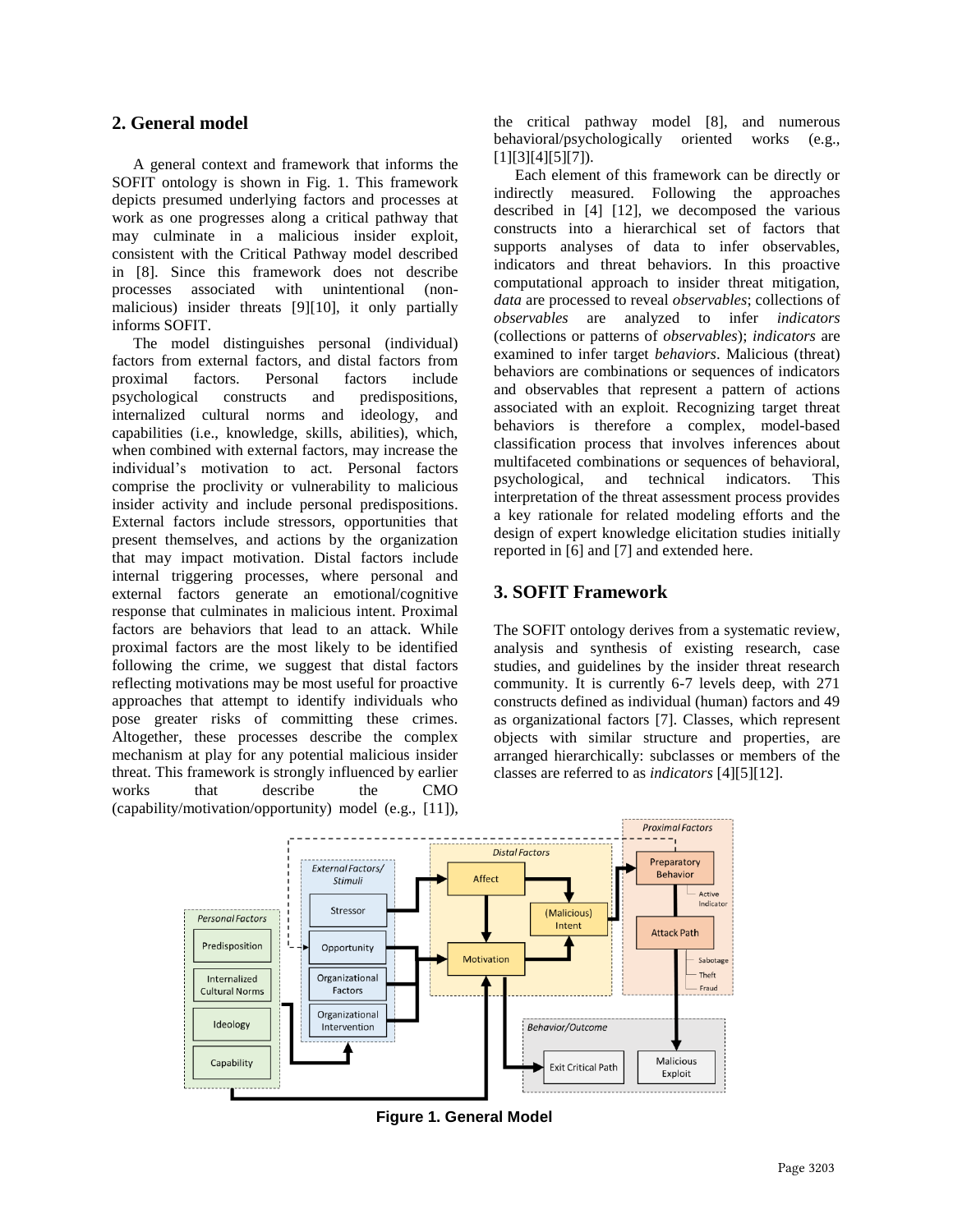### **2. General model**

A general context and framework that informs the SOFIT ontology is shown in Fig. 1. This framework depicts presumed underlying factors and processes at work as one progresses along a critical pathway that may culminate in a malicious insider exploit, consistent with the Critical Pathway model described in [8]. Since this framework does not describe processes associated with unintentional (nonmalicious) insider threats [9][10], it only partially informs SOFIT.

The model distinguishes personal (individual) factors from external factors, and distal factors from proximal factors. Personal factors include psychological constructs and predispositions, internalized cultural norms and ideology, and capabilities (i.e., knowledge, skills, abilities), which, when combined with external factors, may increase the individual's motivation to act. Personal factors comprise the proclivity or vulnerability to malicious insider activity and include personal predispositions. External factors include stressors, opportunities that present themselves, and actions by the organization that may impact motivation. Distal factors include internal triggering processes, where personal and external factors generate an emotional/cognitive response that culminates in malicious intent. Proximal factors are behaviors that lead to an attack. While proximal factors are the most likely to be identified following the crime, we suggest that distal factors reflecting motivations may be most useful for proactive approaches that attempt to identify individuals who pose greater risks of committing these crimes. Altogether, these processes describe the complex mechanism at play for any potential malicious insider threat. This framework is strongly influenced by earlier works that describe the CMO (capability/motivation/opportunity) model (e.g., [11]),

the critical pathway model [8], and numerous behavioral/psychologically oriented works (e.g., [1][3][4][5][7]).

Each element of this framework can be directly or indirectly measured. Following the approaches described in [4] [12], we decomposed the various constructs into a hierarchical set of factors that supports analyses of data to infer observables, indicators and threat behaviors. In this proactive computational approach to insider threat mitigation, *data* are processed to reveal *observables*; collections of *observables* are analyzed to infer *indicators*  (collections or patterns of *observables*); *indicators* are examined to infer target *behaviors*. Malicious (threat) behaviors are combinations or sequences of indicators and observables that represent a pattern of actions associated with an exploit. Recognizing target threat behaviors is therefore a complex, model-based classification process that involves inferences about multifaceted combinations or sequences of behavioral, psychological, and technical indicators. This interpretation of the threat assessment process provides a key rationale for related modeling efforts and the design of expert knowledge elicitation studies initially reported in [6] and [7] and extended here.

### **3. SOFIT Framework**

The SOFIT ontology derives from a systematic review, analysis and synthesis of existing research, case studies, and guidelines by the insider threat research community. It is currently 6-7 levels deep, with 271 constructs defined as individual (human) factors and 49 as organizational factors [7]. Classes, which represent objects with similar structure and properties, are arranged hierarchically: subclasses or members of the classes are referred to as *indicators* [4][5][12].



**Figure 1. General Model**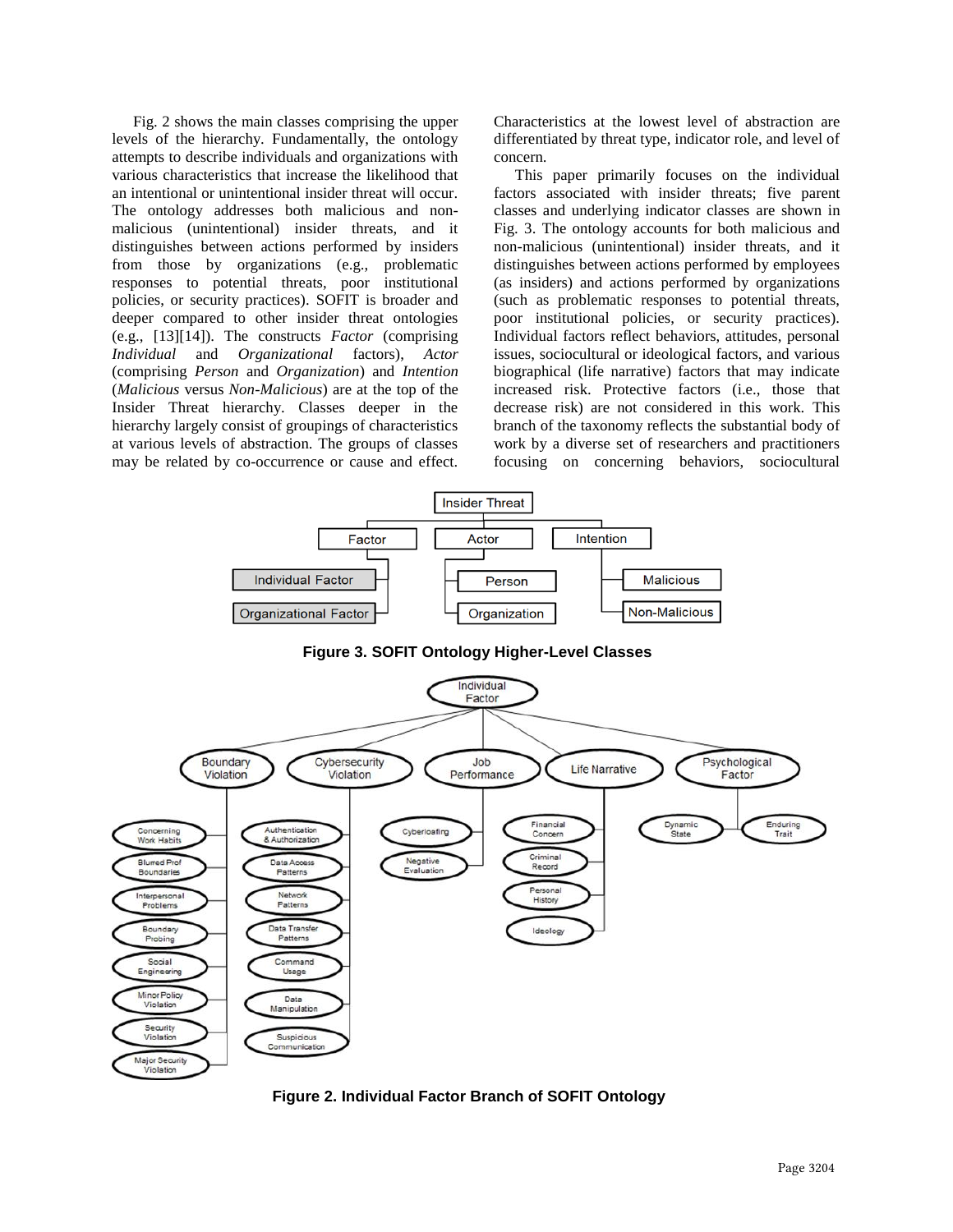Fig. 2 shows the main classes comprising the upper levels of the hierarchy. Fundamentally, the ontology attempts to describe individuals and organizations with various characteristics that increase the likelihood that an intentional or unintentional insider threat will occur. The ontology addresses both malicious and nonmalicious (unintentional) insider threats, and it distinguishes between actions performed by insiders from those by organizations (e.g., problematic responses to potential threats, poor institutional policies, or security practices). SOFIT is broader and deeper compared to other insider threat ontologies (e.g., [13][14]). The constructs *Factor* (comprising *Individual* and *Organizational* factors), *Actor* (comprising *Person* and *Organization*) and *Intention* (*Malicious* versus *Non-Malicious*) are at the top of the Insider Threat hierarchy. Classes deeper in the hierarchy largely consist of groupings of characteristics at various levels of abstraction. The groups of classes may be related by co-occurrence or cause and effect.

Characteristics at the lowest level of abstraction are differentiated by threat type, indicator role, and level of concern.

This paper primarily focuses on the individual factors associated with insider threats; five parent classes and underlying indicator classes are shown in Fig. 3. The ontology accounts for both malicious and non-malicious (unintentional) insider threats, and it distinguishes between actions performed by employees (as insiders) and actions performed by organizations (such as problematic responses to potential threats, poor institutional policies, or security practices). Individual factors reflect behaviors, attitudes, personal issues, sociocultural or ideological factors, and various biographical (life narrative) factors that may indicate increased risk. Protective factors (i.e., those that decrease risk) are not considered in this work. This branch of the taxonomy reflects the substantial body of work by a diverse set of researchers and practitioners focusing on concerning behaviors, sociocultural



**Figure 3. SOFIT Ontology Higher-Level Classes**



**Figure 2. Individual Factor Branch of SOFIT Ontology**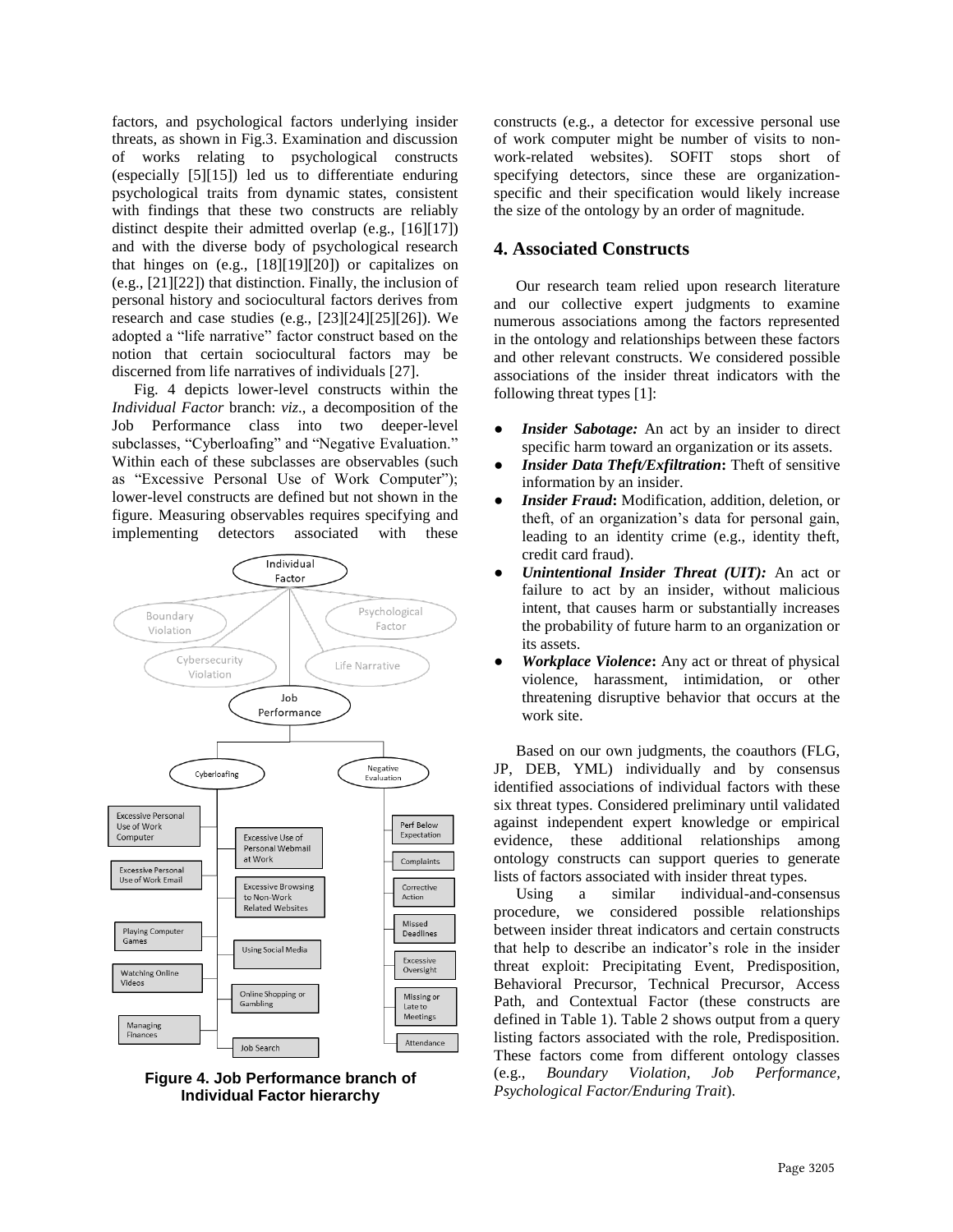factors, and psychological factors underlying insider threats, as shown in Fig.3. Examination and discussion of works relating to psychological constructs (especially [5][15]) led us to differentiate enduring psychological traits from dynamic states, consistent with findings that these two constructs are reliably distinct despite their admitted overlap (e.g., [16][17]) and with the diverse body of psychological research that hinges on (e.g., [18][19][20]) or capitalizes on (e.g., [21][22]) that distinction. Finally, the inclusion of personal history and sociocultural factors derives from research and case studies (e.g., [23][24][25][26]). We adopted a "life narrative" factor construct based on the notion that certain sociocultural factors may be discerned from life narratives of individuals [27].

Fig. 4 depicts lower-level constructs within the *Individual Factor* branch: *viz*., a decomposition of the Job Performance class into two deeper-level subclasses, "Cyberloafing" and "Negative Evaluation." Within each of these subclasses are observables (such as "Excessive Personal Use of Work Computer"); lower-level constructs are defined but not shown in the figure. Measuring observables requires specifying and implementing detectors associated with these





constructs (e.g., a detector for excessive personal use of work computer might be number of visits to nonwork-related websites). SOFIT stops short of specifying detectors, since these are organizationspecific and their specification would likely increase the size of the ontology by an order of magnitude.

### **4. Associated Constructs**

Our research team relied upon research literature and our collective expert judgments to examine numerous associations among the factors represented in the ontology and relationships between these factors and other relevant constructs. We considered possible associations of the insider threat indicators with the following threat types [1]:

- **Insider Sabotage:** An act by an insider to direct specific harm toward an organization or its assets.
- *Insider Data Theft/Exfiltration***:** Theft of sensitive information by an insider.
- *Insider Fraud*: Modification, addition, deletion, or theft, of an organization's data for personal gain, leading to an identity crime (e.g., identity theft, credit card fraud).
- *Unintentional Insider Threat (UIT):* An act or failure to act by an insider, without malicious intent, that causes harm or substantially increases the probability of future harm to an organization or its assets.
- *Workplace Violence***:** Any act or threat of physical violence, harassment, intimidation, or other threatening disruptive behavior that occurs at the work site.

Based on our own judgments, the coauthors (FLG, JP, DEB, YML) individually and by consensus identified associations of individual factors with these six threat types. Considered preliminary until validated against independent expert knowledge or empirical evidence, these additional relationships among ontology constructs can support queries to generate lists of factors associated with insider threat types.

Using a similar individual-and-consensus procedure, we considered possible relationships between insider threat indicators and certain constructs that help to describe an indicator's role in the insider threat exploit: Precipitating Event, Predisposition, Behavioral Precursor, Technical Precursor, Access Path, and Contextual Factor (these constructs are defined in Table 1). Table 2 shows output from a query listing factors associated with the role, Predisposition. These factors come from different ontology classes (e.g., *Boundary Violation, Job Performance, Psychological Factor/Enduring Trait*).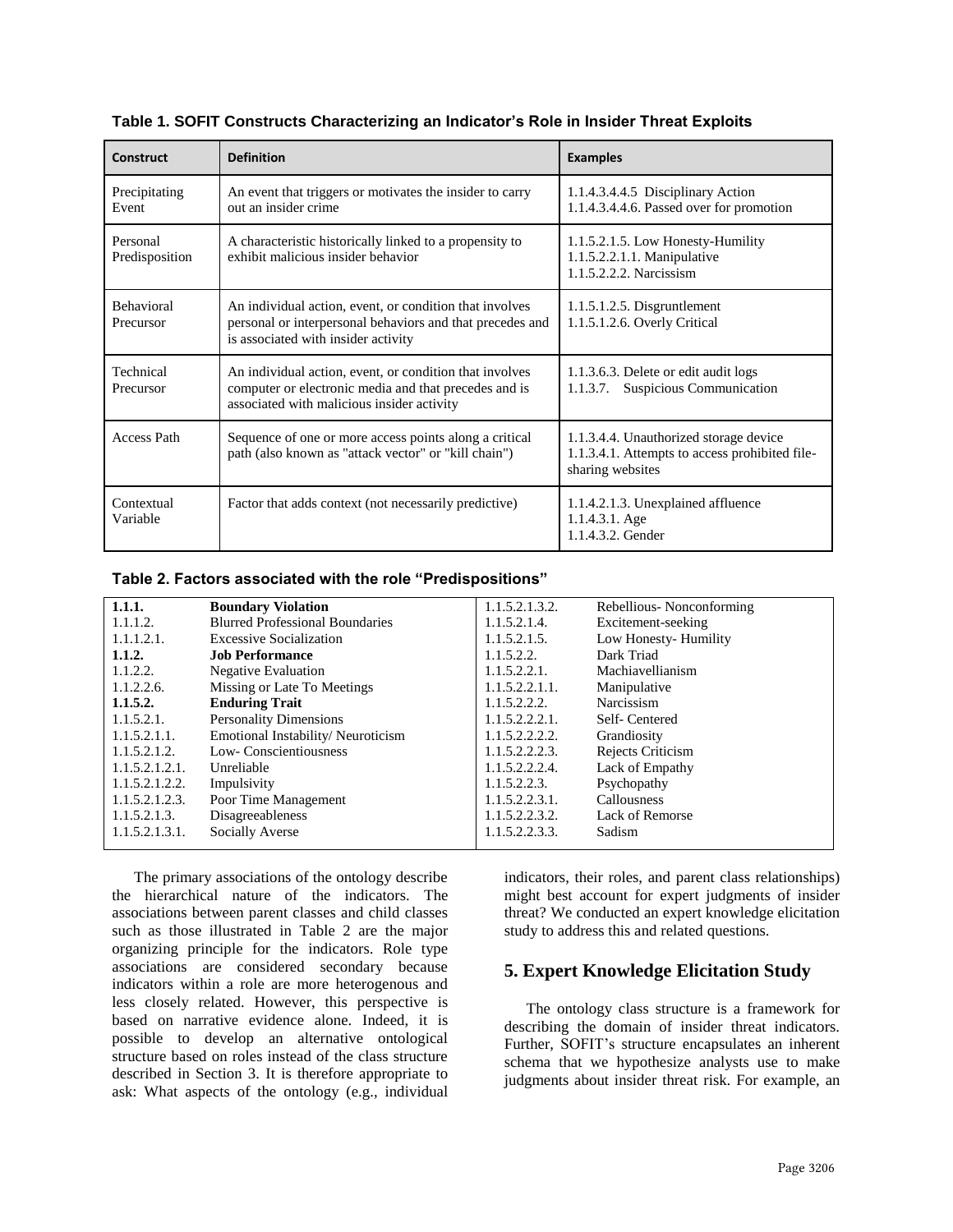| <b>Construct</b>               | <b>Definition</b>                                                                                                                                              | <b>Examples</b>                                                                                              |  |
|--------------------------------|----------------------------------------------------------------------------------------------------------------------------------------------------------------|--------------------------------------------------------------------------------------------------------------|--|
| Precipitating<br>Event         | An event that triggers or motivates the insider to carry<br>out an insider crime                                                                               | 1.1.4.3.4.4.5 Disciplinary Action<br>1.1.4.3.4.4.6. Passed over for promotion                                |  |
| Personal<br>Predisposition     | A characteristic historically linked to a propensity to<br>exhibit malicious insider behavior                                                                  | 1.1.5.2.1.5. Low Honesty-Humility<br>1.1.5.2.2.1.1. Manipulative<br>1.1.5.2.2.2. Narcissism                  |  |
| <b>Behavioral</b><br>Precursor | An individual action, event, or condition that involves<br>personal or interpersonal behaviors and that precedes and<br>is associated with insider activity    | $1.1.5.1.2.5.$ Disgruntlement<br>1.1.5.1.2.6. Overly Critical                                                |  |
| Technical<br>Precursor         | An individual action, event, or condition that involves<br>computer or electronic media and that precedes and is<br>associated with malicious insider activity | 1.1.3.6.3. Delete or edit audit logs<br>Suspicious Communication<br>1.1.3.7.                                 |  |
| <b>Access Path</b>             | Sequence of one or more access points along a critical<br>path (also known as "attack vector" or "kill chain")                                                 | 1.1.3.4.4. Unauthorized storage device<br>1.1.3.4.1. Attempts to access prohibited file-<br>sharing websites |  |
| Contextual<br>Variable         | Factor that adds context (not necessarily predictive)                                                                                                          | 1.1.4.2.1.3. Unexplained affluence<br>1.1.4.3.1. Age<br>1.1.4.3.2. Gender                                    |  |

**Table 1. SOFIT Constructs Characterizing an Indicator's Role in Insider Threat Exploits**

#### **Table 2. Factors associated with the role "Predispositions"**

| 1.1.1.         | <b>Boundary Violation</b>              | 1.1.5.2.1.3.2. | Rebellious-Nonconforming |  |
|----------------|----------------------------------------|----------------|--------------------------|--|
| 1.1.1.2.       | <b>Blurred Professional Boundaries</b> | 1.1.5.2.1.4.   | Excitement-seeking       |  |
| 1.1.1.2.1.     | <b>Excessive Socialization</b>         | 1.1.5.2.1.5.   | Low Honesty-Humility     |  |
| 1.1.2.         | <b>Job Performance</b>                 | 1.1.5.2.2.     | Dark Triad               |  |
| 1.1.2.2.       | <b>Negative Evaluation</b>             | 1.1.5.2.2.1.   | Machiavellianism         |  |
| 1.1.2.2.6.     | Missing or Late To Meetings            | 1.1.5.2.2.1.1. | Manipulative             |  |
| 1.1.5.2.       | <b>Enduring Trait</b>                  | 1.1.5.2.2.2.   | Narcissism               |  |
| 1.1.5.2.1.     | <b>Personality Dimensions</b>          | 1.1.5.2.2.2.1. | Self-Centered            |  |
| 1.1.5.2.1.1.   | Emotional Instability/Neuroticism      | 1.1.5.2.2.2.2. | Grandiosity              |  |
| 1.1.5.2.1.2.   | Low-Conscientiousness                  | 1.1.5.2.2.2.3. | Rejects Criticism        |  |
| 1.1.5.2.1.2.1. | Unreliable                             | 1.1.5.2.2.2.4. | Lack of Empathy          |  |
| 1.1.5.2.1.2.2. | Impulsivity                            | 1.1.5.2.2.3.   | Psychopathy              |  |
| 1.1.5.2.1.2.3. | Poor Time Management                   | 1.1.5.2.2.3.1. | Callousness              |  |
| 1.1.5.2.1.3.   | <b>Disagreeableness</b>                | 1.1.5.2.2.3.2. | Lack of Remorse          |  |
| 1.1.5.2.1.3.1. | Socially Averse                        | 1.1.5.2.2.3.3. | Sadism                   |  |
|                |                                        |                |                          |  |

The primary associations of the ontology describe the hierarchical nature of the indicators. The associations between parent classes and child classes such as those illustrated in Table 2 are the major organizing principle for the indicators. Role type associations are considered secondary because indicators within a role are more heterogenous and less closely related. However, this perspective is based on narrative evidence alone. Indeed, it is possible to develop an alternative ontological structure based on roles instead of the class structure described in Section 3. It is therefore appropriate to ask: What aspects of the ontology (e.g., individual

indicators, their roles, and parent class relationships) might best account for expert judgments of insider threat? We conducted an expert knowledge elicitation study to address this and related questions.

## **5. Expert Knowledge Elicitation Study**

The ontology class structure is a framework for describing the domain of insider threat indicators. Further, SOFIT's structure encapsulates an inherent schema that we hypothesize analysts use to make judgments about insider threat risk. For example, an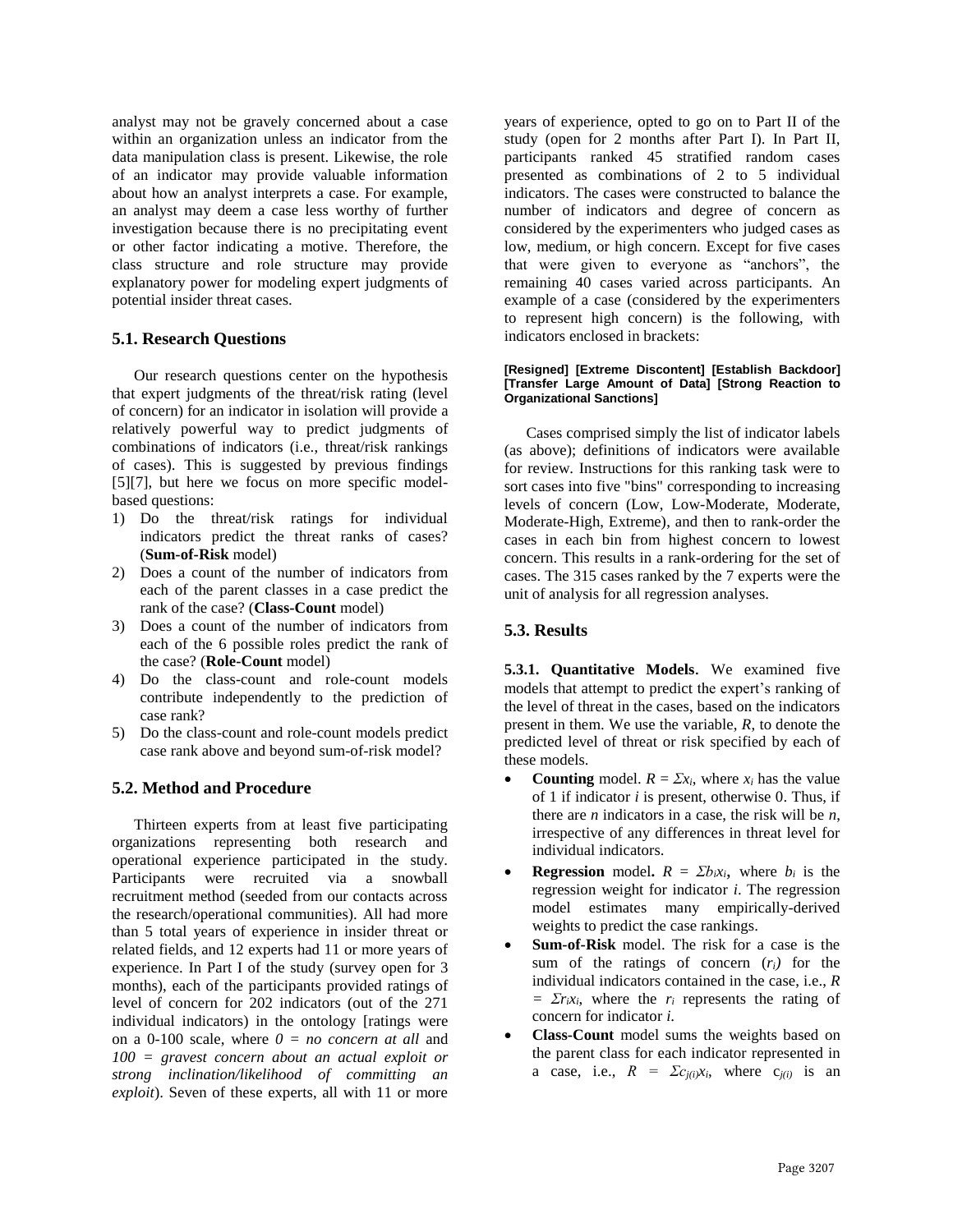analyst may not be gravely concerned about a case within an organization unless an indicator from the data manipulation class is present. Likewise, the role of an indicator may provide valuable information about how an analyst interprets a case. For example, an analyst may deem a case less worthy of further investigation because there is no precipitating event or other factor indicating a motive. Therefore, the class structure and role structure may provide explanatory power for modeling expert judgments of potential insider threat cases.

#### **5.1. Research Questions**

Our research questions center on the hypothesis that expert judgments of the threat/risk rating (level of concern) for an indicator in isolation will provide a relatively powerful way to predict judgments of combinations of indicators (i.e., threat/risk rankings of cases). This is suggested by previous findings [5][7], but here we focus on more specific modelbased questions:

- 1) Do the threat/risk ratings for individual indicators predict the threat ranks of cases? (**Sum-of-Risk** model)
- 2) Does a count of the number of indicators from each of the parent classes in a case predict the rank of the case? (**Class-Count** model)
- 3) Does a count of the number of indicators from each of the 6 possible roles predict the rank of the case? (**Role-Count** model)
- 4) Do the class-count and role-count models contribute independently to the prediction of case rank?
- 5) Do the class-count and role-count models predict case rank above and beyond sum-of-risk model?

### **5.2. Method and Procedure**

Thirteen experts from at least five participating organizations representing both research and operational experience participated in the study. Participants were recruited via a snowball recruitment method (seeded from our contacts across the research/operational communities). All had more than 5 total years of experience in insider threat or related fields, and 12 experts had 11 or more years of experience. In Part I of the study (survey open for 3 months), each of the participants provided ratings of level of concern for 202 indicators (out of the 271 individual indicators) in the ontology [ratings were on a 0-100 scale, where *0 = no concern at all* and *100 = gravest concern about an actual exploit or strong inclination/likelihood of committing an exploit*). Seven of these experts, all with 11 or more

years of experience, opted to go on to Part II of the study (open for 2 months after Part I). In Part II, participants ranked 45 stratified random cases presented as combinations of 2 to 5 individual indicators. The cases were constructed to balance the number of indicators and degree of concern as considered by the experimenters who judged cases as low, medium, or high concern. Except for five cases that were given to everyone as "anchors", the remaining 40 cases varied across participants. An example of a case (considered by the experimenters to represent high concern) is the following, with indicators enclosed in brackets:

#### **[Resigned] [Extreme Discontent] [Establish Backdoor] [Transfer Large Amount of Data] [Strong Reaction to Organizational Sanctions]**

Cases comprised simply the list of indicator labels (as above); definitions of indicators were available for review. Instructions for this ranking task were to sort cases into five "bins" corresponding to increasing levels of concern (Low, Low-Moderate, Moderate, Moderate-High, Extreme), and then to rank-order the cases in each bin from highest concern to lowest concern. This results in a rank-ordering for the set of cases. The 315 cases ranked by the 7 experts were the unit of analysis for all regression analyses.

### **5.3. Results**

**5.3.1. Quantitative Models**. We examined five models that attempt to predict the expert's ranking of the level of threat in the cases, based on the indicators present in them. We use the variable, *R*, to denote the predicted level of threat or risk specified by each of these models.

- **Counting** model.  $R = \sum x_i$ , where  $x_i$  has the value of 1 if indicator *i* is present, otherwise 0. Thus, if there are *n* indicators in a case, the risk will be *n*, irrespective of any differences in threat level for individual indicators.
- **Regression** model.  $R = \sum b_i x_i$ , where  $b_i$  is the regression weight for indicator *i*. The regression model estimates many empirically-derived weights to predict the case rankings.
- **Sum-of-Risk** model. The risk for a case is the sum of the ratings of concern  $(r_i)$  for the individual indicators contained in the case, i.e., *R*   $= \sum r_i x_i$ , where the *r<sub>i</sub>* represents the rating of concern for indicator *i*.
- **Class-Count** model sums the weights based on the parent class for each indicator represented in a case, i.e.,  $R = \sum c_{j(i)}x_i$ , where  $c_{j(i)}$  is an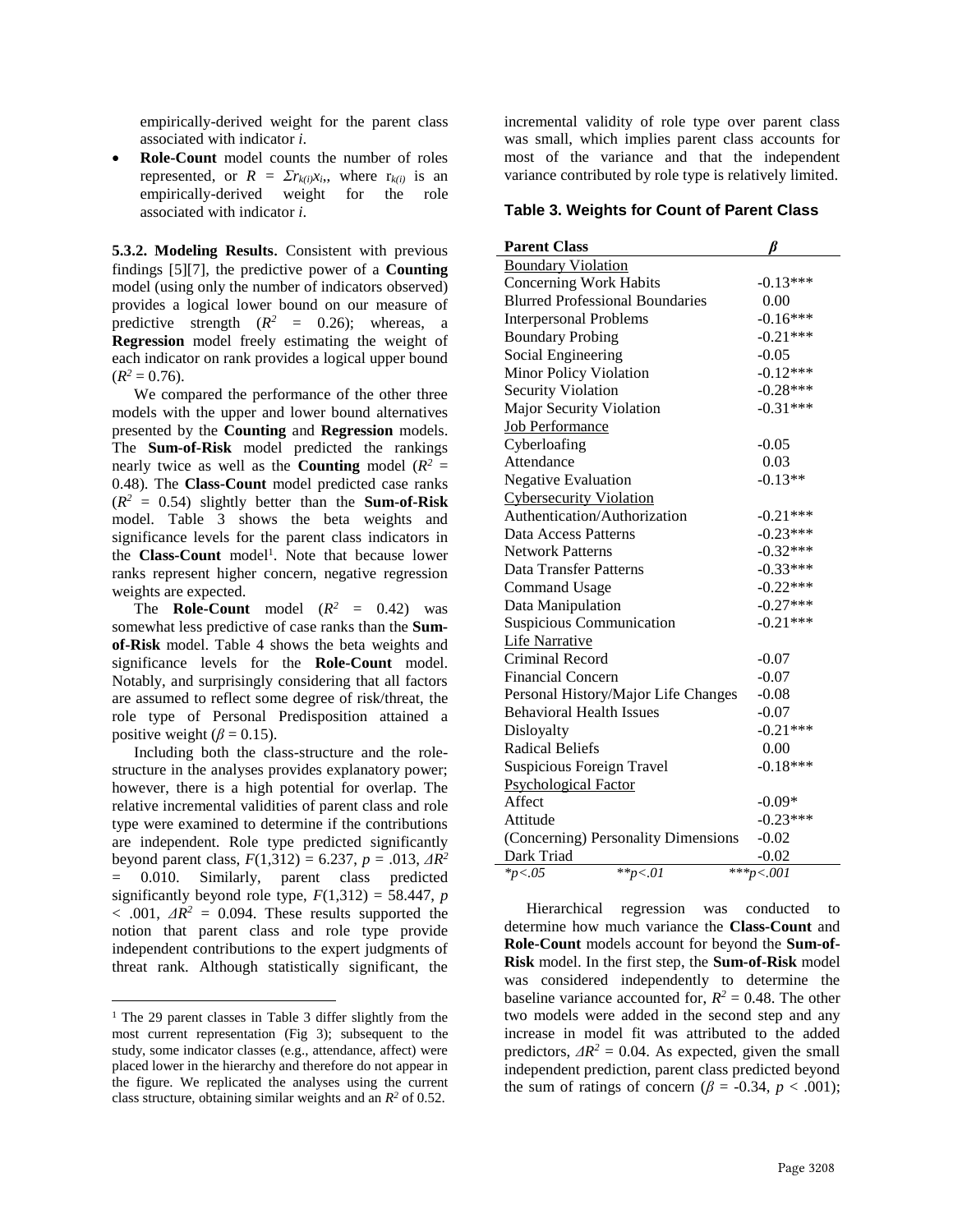empirically-derived weight for the parent class associated with indicator *i*.

• **Role-Count** model counts the number of roles represented, or  $R = \sum r_{k(i)} x_i$ , where  $r_{k(i)}$  is an empirically-derived weight for the role associated with indicator *i*.

**5.3.2. Modeling Results**. Consistent with previous findings [5][7], the predictive power of a **Counting** model (using only the number of indicators observed) provides a logical lower bound on our measure of predictive strength  $(R^2 = 0.26)$ ; whereas, a **Regression** model freely estimating the weight of each indicator on rank provides a logical upper bound  $(R^2 = 0.76)$ .

We compared the performance of the other three models with the upper and lower bound alternatives presented by the **Counting** and **Regression** models. The **Sum-of-Risk** model predicted the rankings nearly twice as well as the **Counting** model ( $R^2 =$ 0.48). The **Class-Count** model predicted case ranks  $(R^2 = 0.54)$  slightly better than the **Sum-of-Risk** model. Table 3 shows the beta weights and significance levels for the parent class indicators in the **Class-Count** model<sup>1</sup>. Note that because lower ranks represent higher concern, negative regression weights are expected.

The **Role-Count** model  $(R^2 = 0.42)$  was somewhat less predictive of case ranks than the **Sumof-Risk** model. Table 4 shows the beta weights and significance levels for the **Role-Count** model. Notably, and surprisingly considering that all factors are assumed to reflect some degree of risk/threat, the role type of Personal Predisposition attained a positive weight ( $\beta$  = 0.15).

Including both the class-structure and the rolestructure in the analyses provides explanatory power; however, there is a high potential for overlap. The relative incremental validities of parent class and role type were examined to determine if the contributions are independent. Role type predicted significantly beyond parent class,  $F(1,312) = 6.237, p = .013, \Delta R^2$ = 0.010. Similarly, parent class predicted significantly beyond role type,  $F(1,312) = 58.447$ , *p*  $< .001, \ \Delta R^2 = 0.094$ . These results supported the notion that parent class and role type provide independent contributions to the expert judgments of threat rank. Although statistically significant, the

 $\overline{a}$ 

incremental validity of role type over parent class was small, which implies parent class accounts for most of the variance and that the independent variance contributed by role type is relatively limited.

#### **Table 3. Weights for Count of Parent Class**

| <b>Parent Class</b>                    |            |  |  |  |  |
|----------------------------------------|------------|--|--|--|--|
| <b>Boundary Violation</b>              |            |  |  |  |  |
| <b>Concerning Work Habits</b>          | $-0.13***$ |  |  |  |  |
| <b>Blurred Professional Boundaries</b> | 0.00       |  |  |  |  |
| <b>Interpersonal Problems</b>          | $-0.16***$ |  |  |  |  |
| <b>Boundary Probing</b>                | $-0.21***$ |  |  |  |  |
| Social Engineering                     | $-0.05$    |  |  |  |  |
| Minor Policy Violation                 | $-0.12***$ |  |  |  |  |
| <b>Security Violation</b>              | $-0.28***$ |  |  |  |  |
| <b>Major Security Violation</b>        | $-0.31***$ |  |  |  |  |
| <b>Job Performance</b>                 |            |  |  |  |  |
| Cyberloafing                           | $-0.05$    |  |  |  |  |
| Attendance                             | 0.03       |  |  |  |  |
| <b>Negative Evaluation</b>             | $-0.13**$  |  |  |  |  |
| <b>Cybersecurity Violation</b>         |            |  |  |  |  |
| Authentication/Authorization           | $-0.21***$ |  |  |  |  |
| Data Access Patterns                   | $-0.23***$ |  |  |  |  |
| <b>Network Patterns</b>                | $-0.32***$ |  |  |  |  |
| Data Transfer Patterns                 | $-0.33***$ |  |  |  |  |
| <b>Command Usage</b>                   | $-0.22***$ |  |  |  |  |
| Data Manipulation                      | $-0.27***$ |  |  |  |  |
| <b>Suspicious Communication</b>        | $-0.21***$ |  |  |  |  |
| <b>Life Narrative</b>                  |            |  |  |  |  |
| Criminal Record                        | $-0.07$    |  |  |  |  |
| <b>Financial Concern</b>               | $-0.07$    |  |  |  |  |
| Personal History/Major Life Changes    | $-0.08$    |  |  |  |  |
| <b>Behavioral Health Issues</b>        | $-0.07$    |  |  |  |  |
| Disloyalty                             | $-0.21***$ |  |  |  |  |
| <b>Radical Beliefs</b>                 | 0.00       |  |  |  |  |
| <b>Suspicious Foreign Travel</b>       | $-0.18***$ |  |  |  |  |
| <b>Psychological Factor</b>            |            |  |  |  |  |
| Affect                                 | $-0.09*$   |  |  |  |  |
| Attitude                               | $-0.23***$ |  |  |  |  |
| (Concerning) Personality Dimensions    | $-0.02$    |  |  |  |  |
| Dark Triad                             | $-0.02$    |  |  |  |  |
| $* p < .01$<br>$*_{p<.05}$             | ***p<.001  |  |  |  |  |

Hierarchical regression was conducted to determine how much variance the **Class-Count** and **Role-Count** models account for beyond the **Sum-of-Risk** model. In the first step, the **Sum-of-Risk** model was considered independently to determine the baseline variance accounted for,  $R^2 = 0.48$ . The other two models were added in the second step and any increase in model fit was attributed to the added predictors,  $\Delta R^2 = 0.04$ . As expected, given the small independent prediction, parent class predicted beyond the sum of ratings of concern ( $\beta$  = -0.34, *p* < .001);

<sup>&</sup>lt;sup>1</sup> The 29 parent classes in Table 3 differ slightly from the most current representation (Fig 3); subsequent to the study, some indicator classes (e.g., attendance, affect) were placed lower in the hierarchy and therefore do not appear in the figure. We replicated the analyses using the current class structure, obtaining similar weights and an  $R^2$  of 0.52.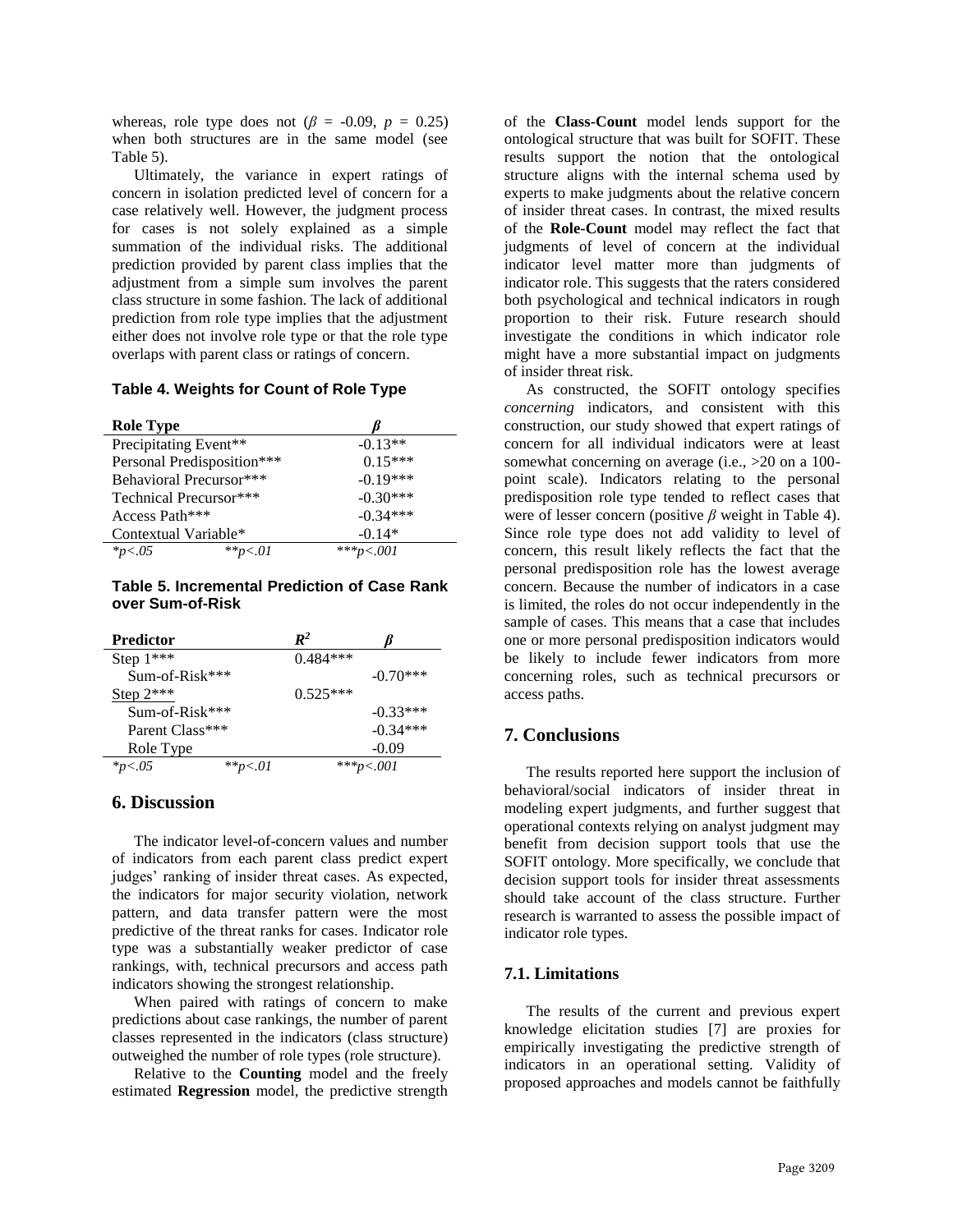whereas, role type does not ( $\beta$  = -0.09,  $p$  = 0.25) when both structures are in the same model (see Table 5).

Ultimately, the variance in expert ratings of concern in isolation predicted level of concern for a case relatively well. However, the judgment process for cases is not solely explained as a simple summation of the individual risks. The additional prediction provided by parent class implies that the adjustment from a simple sum involves the parent class structure in some fashion. The lack of additional prediction from role type implies that the adjustment either does not involve role type or that the role type overlaps with parent class or ratings of concern.

#### **Table 4. Weights for Count of Role Type**

| <b>Role Type</b>           |            |
|----------------------------|------------|
| Precipitating Event**      | $-0.13**$  |
| Personal Predisposition*** | $0.15***$  |
| Behavioral Precursor***    | $-0.19***$ |
| Technical Precursor***     | $-0.30***$ |
| Access Path***             | $-0.34***$ |
| Contextual Variable*       | $-0.14*$   |
| $*_{p<.05}$<br>** $p < 01$ | ***p<.001  |

#### **Table 5. Incremental Prediction of Case Rank over Sum-of-Risk**

| <b>Predictor</b> |              | $\mathbb{R}^2$ |             |
|------------------|--------------|----------------|-------------|
| Step $1***$      |              | $0.484***$     |             |
| $Sum-of-Risk***$ |              |                | $-(1.70***$ |
| Step $2***$      |              | $0.525***$     |             |
| Sum-of-Risk***   |              |                | $-0.33***$  |
| Parent Class***  |              |                | $-0.34***$  |
| Role Type        |              |                | $-0.09$     |
| $*_{p<.05}$      | ** $p < .01$ |                | ***p<.001   |

#### **6. Discussion**

The indicator level-of-concern values and number of indicators from each parent class predict expert judges' ranking of insider threat cases. As expected, the indicators for major security violation, network pattern, and data transfer pattern were the most predictive of the threat ranks for cases. Indicator role type was a substantially weaker predictor of case rankings, with, technical precursors and access path indicators showing the strongest relationship.

When paired with ratings of concern to make predictions about case rankings, the number of parent classes represented in the indicators (class structure) outweighed the number of role types (role structure).

Relative to the **Counting** model and the freely estimated **Regression** model, the predictive strength of the **Class-Count** model lends support for the ontological structure that was built for SOFIT. These results support the notion that the ontological structure aligns with the internal schema used by experts to make judgments about the relative concern of insider threat cases. In contrast, the mixed results of the **Role-Count** model may reflect the fact that judgments of level of concern at the individual indicator level matter more than judgments of indicator role. This suggests that the raters considered both psychological and technical indicators in rough proportion to their risk. Future research should investigate the conditions in which indicator role might have a more substantial impact on judgments of insider threat risk.

As constructed, the SOFIT ontology specifies *concerning* indicators, and consistent with this construction, our study showed that expert ratings of concern for all individual indicators were at least somewhat concerning on average (i.e.,  $>20$  on a 100point scale). Indicators relating to the personal predisposition role type tended to reflect cases that were of lesser concern (positive *β* weight in Table 4). Since role type does not add validity to level of concern, this result likely reflects the fact that the personal predisposition role has the lowest average concern. Because the number of indicators in a case is limited, the roles do not occur independently in the sample of cases. This means that a case that includes one or more personal predisposition indicators would be likely to include fewer indicators from more concerning roles, such as technical precursors or access paths.

#### **7. Conclusions**

The results reported here support the inclusion of behavioral/social indicators of insider threat in modeling expert judgments, and further suggest that operational contexts relying on analyst judgment may benefit from decision support tools that use the SOFIT ontology. More specifically, we conclude that decision support tools for insider threat assessments should take account of the class structure. Further research is warranted to assess the possible impact of indicator role types.

#### **7.1. Limitations**

The results of the current and previous expert knowledge elicitation studies [7] are proxies for empirically investigating the predictive strength of indicators in an operational setting. Validity of proposed approaches and models cannot be faithfully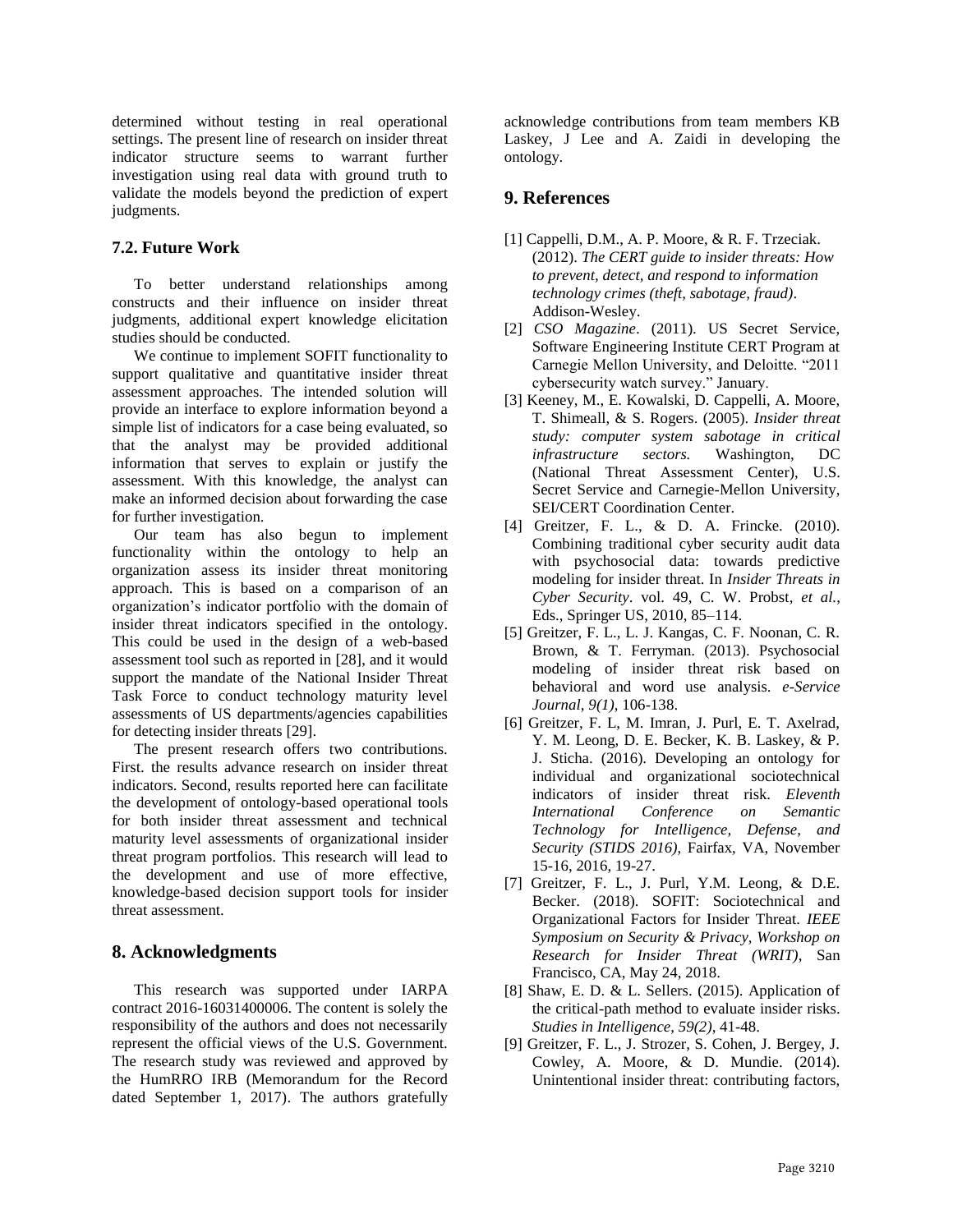determined without testing in real operational settings. The present line of research on insider threat indicator structure seems to warrant further investigation using real data with ground truth to validate the models beyond the prediction of expert judgments.

### **7.2. Future Work**

To better understand relationships among constructs and their influence on insider threat judgments, additional expert knowledge elicitation studies should be conducted.

We continue to implement SOFIT functionality to support qualitative and quantitative insider threat assessment approaches. The intended solution will provide an interface to explore information beyond a simple list of indicators for a case being evaluated, so that the analyst may be provided additional information that serves to explain or justify the assessment. With this knowledge, the analyst can make an informed decision about forwarding the case for further investigation.

Our team has also begun to implement functionality within the ontology to help an organization assess its insider threat monitoring approach. This is based on a comparison of an organization's indicator portfolio with the domain of insider threat indicators specified in the ontology. This could be used in the design of a web-based assessment tool such as reported in [28], and it would support the mandate of the National Insider Threat Task Force to conduct technology maturity level assessments of US departments/agencies capabilities for detecting insider threats [29].

The present research offers two contributions. First. the results advance research on insider threat indicators. Second, results reported here can facilitate the development of ontology-based operational tools for both insider threat assessment and technical maturity level assessments of organizational insider threat program portfolios. This research will lead to the development and use of more effective, knowledge-based decision support tools for insider threat assessment.

### **8. Acknowledgments**

This research was supported under IARPA contract 2016-16031400006. The content is solely the responsibility of the authors and does not necessarily represent the official views of the U.S. Government. The research study was reviewed and approved by the HumRRO IRB (Memorandum for the Record dated September 1, 2017). The authors gratefully

acknowledge contributions from team members KB Laskey, J Lee and A. Zaidi in developing the ontology.

### **9. References**

- [1] Cappelli, D.M., A. P. Moore, & R. F. Trzeciak. (2012). *The CERT guide to insider threats: How to prevent, detect, and respond to information technology crimes (theft, sabotage, fraud)*. Addison-Wesley.
- [2] *CSO Magazine*. (2011). US Secret Service, Software Engineering Institute CERT Program at Carnegie Mellon University, and Deloitte. "2011 cybersecurity watch survey." January.
- [3] Keeney, M., E. Kowalski, D. Cappelli, A. Moore, T. Shimeall, & S. Rogers. (2005). *Insider threat study: computer system sabotage in critical infrastructure sectors.* Washington, DC (National Threat Assessment Center), U.S. Secret Service and Carnegie-Mellon University, SEI/CERT Coordination Center.
- [4] Greitzer, F. L., & D. A. Frincke. (2010). Combining traditional cyber security audit data with psychosocial data: towards predictive modeling for insider threat. In *Insider Threats in Cyber Security*. vol. 49, C. W. Probst*, et al.*, Eds., Springer US, 2010, 85–114.
- [5] Greitzer, F. L., L. J. Kangas, C. F. Noonan, C. R. Brown, & T. Ferryman. (2013). Psychosocial modeling of insider threat risk based on behavioral and word use analysis. *e-Service Journal*, *9(1)*, 106-138.
- [6] Greitzer, F. L, M. Imran, J. Purl, E. T. Axelrad, Y. M. Leong, D. E. Becker, K. B. Laskey, & P. J. Sticha. (2016). Developing an ontology for individual and organizational sociotechnical indicators of insider threat risk. *Eleventh International Conference on Semantic Technology for Intelligence, Defense, and Security (STIDS 2016)*, Fairfax, VA, November 15-16, 2016, 19-27.
- [7] Greitzer, F. L., J. Purl, Y.M. Leong, & D.E. Becker. (2018). SOFIT: Sociotechnical and Organizational Factors for Insider Threat. *IEEE Symposium on Security & Privacy, Workshop on Research for Insider Threat (WRIT)*, San Francisco, CA, May 24, 2018.
- [8] Shaw, E. D. & L. Sellers. (2015). Application of the critical-path method to evaluate insider risks. *Studies in Intelligence*, *59(2)*, 41-48.
- [9] Greitzer, F. L., J. Strozer, S. Cohen, J. Bergey, J. Cowley, A. Moore, & D. Mundie. (2014). Unintentional insider threat: contributing factors,